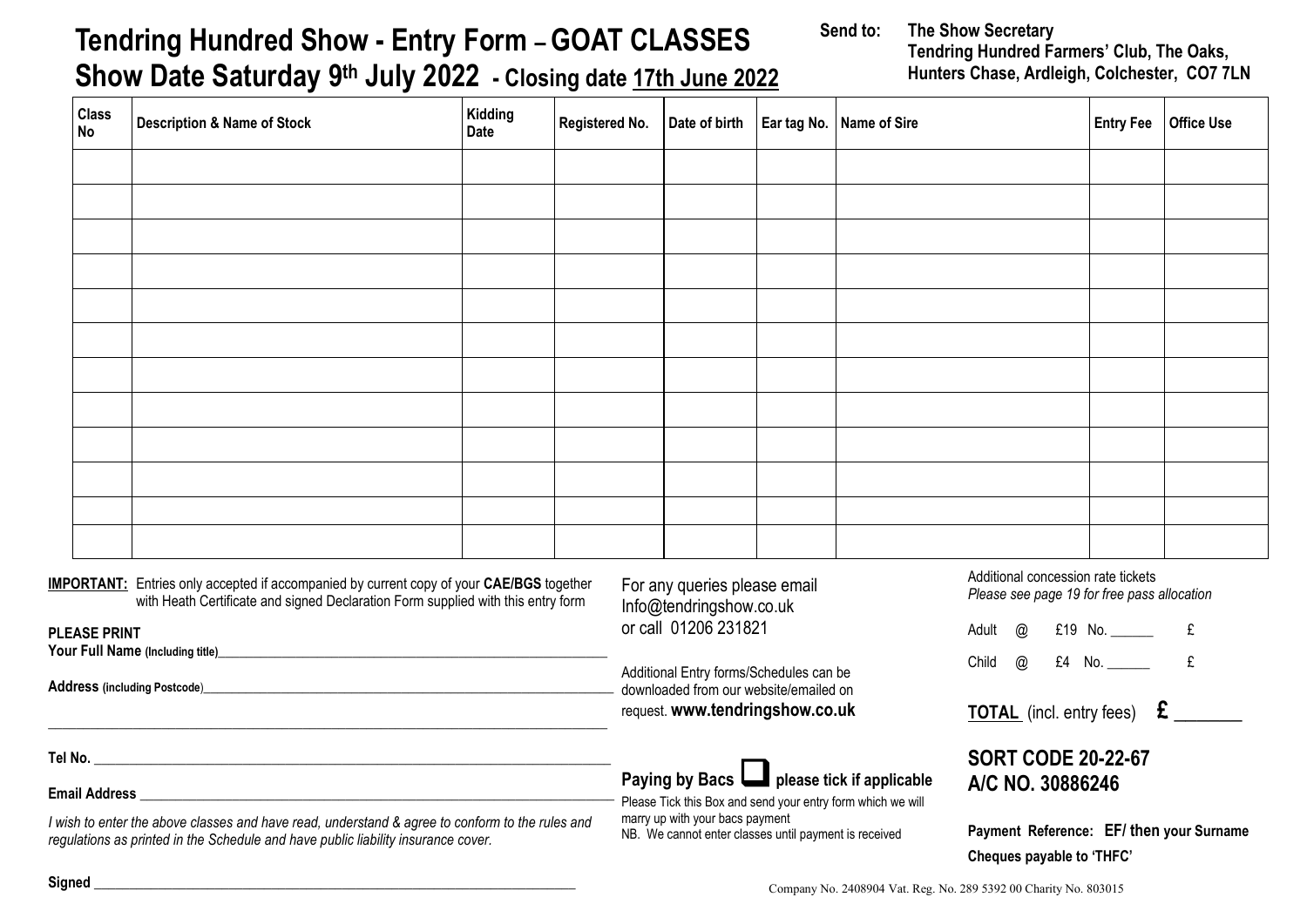| <b>Class</b><br><b>No</b>                                                                                                                                                           | <b>Description &amp; Name of Stock</b> | Kidding<br>Date | Registered No.                                                   | Date of birth   Ear tag No.   Name of Sire                                                                                                                                                                   |  |  |                                                                                                             |  | Entry Fee   Office Use |
|-------------------------------------------------------------------------------------------------------------------------------------------------------------------------------------|----------------------------------------|-----------------|------------------------------------------------------------------|--------------------------------------------------------------------------------------------------------------------------------------------------------------------------------------------------------------|--|--|-------------------------------------------------------------------------------------------------------------|--|------------------------|
|                                                                                                                                                                                     |                                        |                 |                                                                  |                                                                                                                                                                                                              |  |  |                                                                                                             |  |                        |
|                                                                                                                                                                                     |                                        |                 |                                                                  |                                                                                                                                                                                                              |  |  |                                                                                                             |  |                        |
|                                                                                                                                                                                     |                                        |                 |                                                                  |                                                                                                                                                                                                              |  |  |                                                                                                             |  |                        |
|                                                                                                                                                                                     |                                        |                 |                                                                  |                                                                                                                                                                                                              |  |  |                                                                                                             |  |                        |
|                                                                                                                                                                                     |                                        |                 |                                                                  |                                                                                                                                                                                                              |  |  |                                                                                                             |  |                        |
|                                                                                                                                                                                     |                                        |                 |                                                                  |                                                                                                                                                                                                              |  |  |                                                                                                             |  |                        |
|                                                                                                                                                                                     |                                        |                 |                                                                  |                                                                                                                                                                                                              |  |  |                                                                                                             |  |                        |
|                                                                                                                                                                                     |                                        |                 |                                                                  |                                                                                                                                                                                                              |  |  |                                                                                                             |  |                        |
|                                                                                                                                                                                     |                                        |                 |                                                                  |                                                                                                                                                                                                              |  |  |                                                                                                             |  |                        |
|                                                                                                                                                                                     |                                        |                 |                                                                  |                                                                                                                                                                                                              |  |  |                                                                                                             |  |                        |
|                                                                                                                                                                                     |                                        |                 |                                                                  |                                                                                                                                                                                                              |  |  |                                                                                                             |  |                        |
| <b>IMPORTANT:</b> Entries only accepted if accompanied by current copy of your CAE/BGS together<br>with Heath Certificate and signed Declaration Form supplied with this entry form |                                        |                 |                                                                  | For any queries please email<br>Info@tendringshow.co.uk<br>or call 01206 231821                                                                                                                              |  |  | Additional concession rate tickets<br>Please see page 19 for free pass allocation<br>Adult @ £19 No. ______ |  |                        |
| <b>PLEASE PRINT</b><br>Your Full Name (Including title)<br>Manual Annual Annual Annual Annual Annual Annual Annual Annual Annual Annual Annual Annual Annual Annual Annu            |                                        |                 |                                                                  |                                                                                                                                                                                                              |  |  |                                                                                                             |  | £                      |
|                                                                                                                                                                                     |                                        |                 |                                                                  | Additional Entry forms/Schedules can be<br>downloaded from our website/emailed on<br>request. www.tendringshow.co.uk                                                                                         |  |  | Child @ £4 No. ______                                                                                       |  | £                      |
|                                                                                                                                                                                     |                                        |                 |                                                                  |                                                                                                                                                                                                              |  |  | <b>TOTAL</b> (incl. entry fees) $\epsilon$ ______                                                           |  |                        |
|                                                                                                                                                                                     |                                        |                 |                                                                  | Paying by Bacs <b>D</b> please tick if applicable<br>Please Tick this Box and send your entry form which we will<br>marry up with your bacs payment<br>NB. We cannot enter classes until payment is received |  |  | <b>SORT CODE 20-22-67</b><br>A/C NO. 30886246                                                               |  |                        |
| I wish to enter the above classes and have read, understand & agree to conform to the rules and                                                                                     |                                        |                 |                                                                  |                                                                                                                                                                                                              |  |  |                                                                                                             |  |                        |
| regulations as printed in the Schedule and have public liability insurance cover.                                                                                                   |                                        |                 |                                                                  |                                                                                                                                                                                                              |  |  | Payment Reference: EF/ then your Surname<br>Cheques payable to 'THFC'                                       |  |                        |
|                                                                                                                                                                                     |                                        |                 | Company No. 2408904 Vat. Reg. No. 289 5392 00 Charity No. 803015 |                                                                                                                                                                                                              |  |  |                                                                                                             |  |                        |

## **Tendring Hundred Show - Entry Form – GOAT CLASSES Show Date Saturday 9th July 2022 - Closing date 17th June 2022**

**Send to: The Show Secretary Tendring Hundred Farmers' Club, The Oaks, Hunters Chase, Ardleigh, Colchester, CO7 7LN**